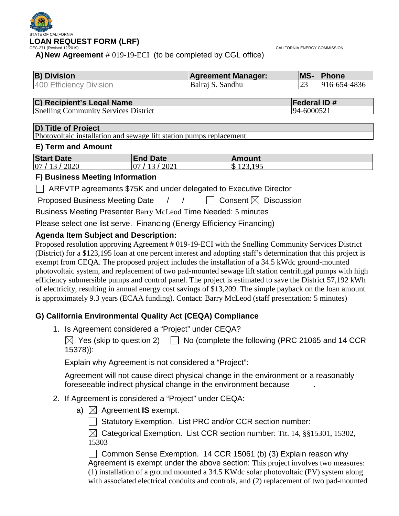

CALIFORNIA ENERGY COMMISSION

**A)New Agreement** # 019-19-ECI (to be completed by CGL office)

| <b>B</b> ) Division     | <b>Agreement Manager:</b> | <b>IMS-</b> | <b>Phone</b> |
|-------------------------|---------------------------|-------------|--------------|
| 400 Efficiency Division | Balrai S. Sandhu          |             | 916-654-4836 |

# **C) Recipient's Legal Name Federal ID #**<br> **Federal ID #**<br> **Federal ID #**<br> **Federal ID #**<br> **Federal ID #**

Snelling Community Services District

#### **D) Title of Project**

Photovoltaic installation and sewage lift station pumps replacement

#### **E) Term and Amount**

| <b>Start Date</b> | <b>End Date</b>         | lAmount       |
|-------------------|-------------------------|---------------|
| 07 / 13 / 2020    | 2021<br>10 <sup>7</sup> | ۱\$<br>123105 |

#### **F) Business Meeting Information**

□ ARFVTP agreements \$75K and under delegated to Executive Director

Proposed Business Meeting Date  $\left\{\begin{array}{ccc} \end{array}\right\}$   $\left\{\begin{array}{ccc} \end{array}\right\}$  Consent  $\boxtimes$  Discussion

Business Meeting Presenter Barry McLeod Time Needed: 5 minutes

Please select one list serve. Financing (Energy Efficiency Financing)

## **Agenda Item Subject and Description:**

Proposed resolution approving Agreement # 019-19-ECI with the Snelling Community Services District (District) for a \$123,195 loan at one percent interest and adopting staff's determination that this project is exempt from CEQA. The proposed project includes the installation of a 34.5 kWdc ground-mounted photovoltaic system, and replacement of two pad-mounted sewage lift station centrifugal pumps with high efficiency submersible pumps and control panel. The project is estimated to save the District 57,192 kWh of electricity, resulting in annual energy cost savings of \$13,209. The simple payback on the loan amount is approximately 9.3 years (ECAA funding). Contact: Barry McLeod (staff presentation: 5 minutes)

# **G) California Environmental Quality Act (CEQA) Compliance**

1. Is Agreement considered a "Project" under CEQA?

 $\boxtimes$  Yes (skip to question 2)  $\Box$  No (complete the following (PRC 21065 and 14 CCR 15378)):

Explain why Agreement is not considered a "Project":

Agreement will not cause direct physical change in the environment or a reasonably foreseeable indirect physical change in the environment because .

#### 2. If Agreement is considered a "Project" under CEQA:

a)  $\bowtie$  Agreement **IS** exempt.

Statutory Exemption. List PRC and/or CCR section number:

 $\boxtimes$  Categorical Exemption. List CCR section number: Tit. 14, §§15301, 15302, 15303

 $\Box$  Common Sense Exemption. 14 CCR 15061 (b) (3) Explain reason why Agreement is exempt under the above section: This project involves two measures: (1) installation of a ground mounted a 34.5 KWdc solar photovoltaic (PV) system along with associated electrical conduits and controls, and (2) replacement of two pad-mounted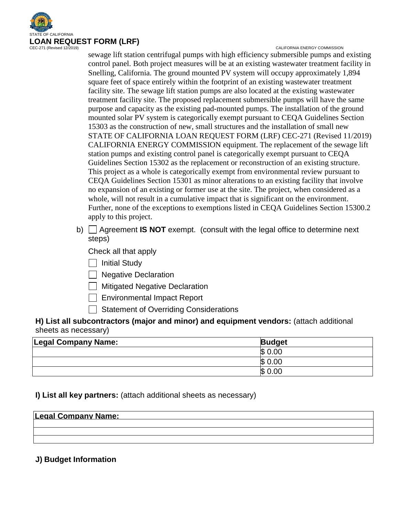

CALIFORNIA ENERGY COMMISSION

sewage lift station centrifugal pumps with high efficiency submersible pumps and existing control panel. Both project measures will be at an existing wastewater treatment facility in Snelling, California. The ground mounted PV system will occupy approximately 1,894 square feet of space entirely within the footprint of an existing wastewater treatment facility site. The sewage lift station pumps are also located at the existing wastewater treatment facility site. The proposed replacement submersible pumps will have the same purpose and capacity as the existing pad-mounted pumps. The installation of the ground mounted solar PV system is categorically exempt pursuant to CEQA Guidelines Section 15303 as the construction of new, small structures and the installation of small new STATE OF CALIFORNIA LOAN REQUEST FORM (LRF) CEC-271 (Revised 11/2019) CALIFORNIA ENERGY COMMISSION equipment. The replacement of the sewage lift station pumps and existing control panel is categorically exempt pursuant to CEQA Guidelines Section 15302 as the replacement or reconstruction of an existing structure. This project as a whole is categorically exempt from environmental review pursuant to CEQA Guidelines Section 15301 as minor alterations to an existing facility that involve no expansion of an existing or former use at the site. The project, when considered as a whole, will not result in a cumulative impact that is significant on the environment. Further, none of the exceptions to exemptions listed in CEQA Guidelines Section 15300.2 apply to this project.

b) Agreement **IS NOT** exempt. (consult with the legal office to determine next steps)

Check all that apply

| | Initial Study

□ Negative Declaration

**Mitigated Negative Declaration** 

Environmental Impact Report

 $\Box$  Statement of Overriding Considerations

**H) List all subcontractors (major and minor) and equipment vendors:** (attach additional sheets as necessary)

| <b>Legal Company Name:</b> | <b>Budget</b> |
|----------------------------|---------------|
|                            | SS.<br>0.00   |
|                            | \$0.00        |
|                            | \$<br>0.00    |

#### **I) List all key partners:** (attach additional sheets as necessary)

| <b>Legal Company Name:</b> |  |  |
|----------------------------|--|--|
|                            |  |  |
|                            |  |  |
|                            |  |  |

#### **J) Budget Information**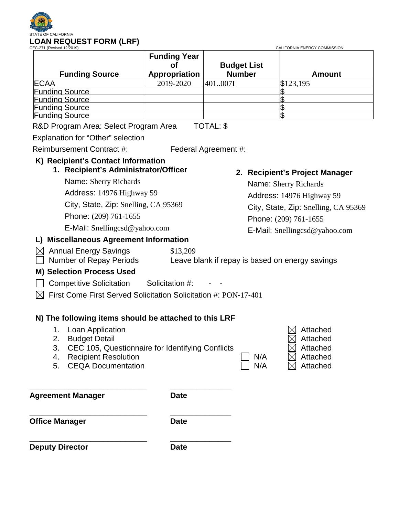

| <b>Funding Source</b>                 | <b>Funding Year</b><br>Οt<br>Appropriation | <b>Budget List</b><br><b>Number</b> | <b>Amount</b> |
|---------------------------------------|--------------------------------------------|-------------------------------------|---------------|
| <b>ECAA</b>                           | 2019-2020                                  | 401007I                             | \$123,195     |
| <b>Funding Source</b>                 |                                            |                                     |               |
| <b>Funding Source</b>                 |                                            |                                     |               |
| <b>Funding Source</b>                 |                                            |                                     |               |
| <b>Funding Source</b>                 |                                            |                                     |               |
| R&D Program Area: Select Program Area |                                            | TOTAL: \$                           |               |
| Explanation for "Other" selection     |                                            |                                     |               |

Reimbursement Contract #: Federal Agreement #:

# **K) Recipient's Contact Information**

# **1. Recipient's Administrator/Officer**

Name: Sherry Richards

Address: 14976 Highway 59

City, State, Zip: Snelling, CA 95369

Phone: (209) 761-1655

E-Mail: Snellingcsd@yahoo.com

# **L) Miscellaneous Agreement Information**

**2. Recipient's Project Manager**

Name: Sherry Richards Address: 14976 Highway 59 City, State, Zip: Snelling, CA 95369 Phone: (209) 761-1655 E-Mail: Snellingcsd@yahoo.com

 $\boxtimes$  Annual Energy Savings \$13,209 Number of Repay Periods Leave blank if repay is based on energy savings

# **M) Selection Process Used**

- $\Box$  Competitive Solicitation Solicitation #:
- $\boxtimes$  First Come First Served Solicitation Solicitation #: PON-17-401

# **N) The following items should be attached to this LRF**

- 1. Loan Application  $\boxtimes$  Attached
- 2. Budget Detail Attached Attached Attached Attached Attached
- 3. CEC 105, Questionnaire for Identifying Conflicts  $\boxtimes$  Attached
- 4. Recipient Resolution  $\Box$  N/A  $\Box$  Attached
- 5. CEQA Documentation  $\Box$  N/A  $\Box$  Attached

**Agreement Manager Date** 

**\_\_\_\_\_\_\_\_\_\_\_\_\_\_\_\_\_\_\_\_\_\_\_\_\_\_\_ \_\_\_\_\_\_\_\_\_\_\_\_\_\_**

**\_\_\_\_\_\_\_\_\_\_\_\_\_\_\_\_\_\_\_\_\_\_\_\_\_\_\_ \_\_\_\_\_\_\_\_\_\_\_\_\_\_ Office Manager Date** 

**\_\_\_\_\_\_\_\_\_\_\_\_\_\_\_\_\_\_\_\_\_\_\_\_\_\_\_ \_\_\_\_\_\_\_\_\_\_\_\_\_\_ Deputy Director Date**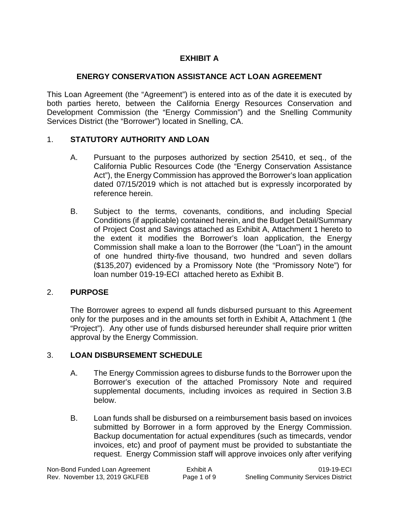# **EXHIBIT A**

# **ENERGY CONSERVATION ASSISTANCE ACT LOAN AGREEMENT**

This Loan Agreement (the "Agreement") is entered into as of the date it is executed by both parties hereto, between the California Energy Resources Conservation and Development Commission (the "Energy Commission") and the Snelling Community Services District (the "Borrower") located in Snelling, CA.

# 1. **STATUTORY AUTHORITY AND LOAN**

- A. Pursuant to the purposes authorized by section 25410, et seq., of the California Public Resources Code (the "Energy Conservation Assistance Act"), the Energy Commission has approved the Borrower's loan application dated 07/15/2019 which is not attached but is expressly incorporated by reference herein.
- B. Subject to the terms, covenants, conditions, and including Special Conditions (if applicable) contained herein, and the Budget Detail/Summary of Project Cost and Savings attached as Exhibit A, Attachment 1 hereto to the extent it modifies the Borrower's loan application, the Energy Commission shall make a loan to the Borrower (the "Loan") in the amount of one hundred thirty-five thousand, two hundred and seven dollars (\$135,207) evidenced by a Promissory Note (the "Promissory Note") for loan number 019-19-ECI attached hereto as Exhibit B.

# 2. **PURPOSE**

The Borrower agrees to expend all funds disbursed pursuant to this Agreement only for the purposes and in the amounts set forth in Exhibit A, Attachment 1 (the "Project"). Any other use of funds disbursed hereunder shall require prior written approval by the Energy Commission.

# 3. **LOAN DISBURSEMENT SCHEDULE**

- A. The Energy Commission agrees to disburse funds to the Borrower upon the Borrower's execution of the attached Promissory Note and required supplemental documents, including invoices as required in Section 3.B below.
- B. Loan funds shall be disbursed on a reimbursement basis based on invoices submitted by Borrower in a form approved by the Energy Commission. Backup documentation for actual expenditures (such as timecards, vendor invoices, etc) and proof of payment must be provided to substantiate the request. Energy Commission staff will approve invoices only after verifying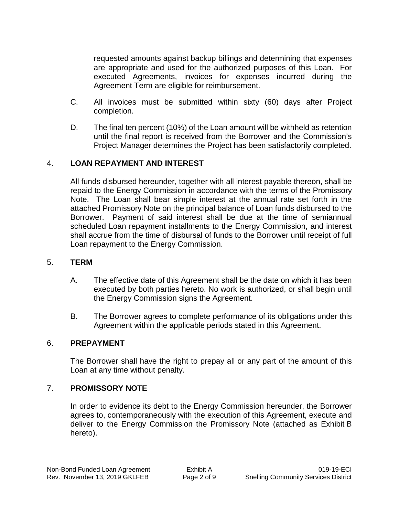requested amounts against backup billings and determining that expenses are appropriate and used for the authorized purposes of this Loan. For executed Agreements, invoices for expenses incurred during the Agreement Term are eligible for reimbursement.

- C. All invoices must be submitted within sixty (60) days after Project completion.
- D. The final ten percent (10%) of the Loan amount will be withheld as retention until the final report is received from the Borrower and the Commission's Project Manager determines the Project has been satisfactorily completed.

# 4. **LOAN REPAYMENT AND INTEREST**

All funds disbursed hereunder, together with all interest payable thereon, shall be repaid to the Energy Commission in accordance with the terms of the Promissory Note. The Loan shall bear simple interest at the annual rate set forth in the attached Promissory Note on the principal balance of Loan funds disbursed to the Borrower. Payment of said interest shall be due at the time of semiannual scheduled Loan repayment installments to the Energy Commission, and interest shall accrue from the time of disbursal of funds to the Borrower until receipt of full Loan repayment to the Energy Commission.

#### 5. **TERM**

- A. The effective date of this Agreement shall be the date on which it has been executed by both parties hereto. No work is authorized, or shall begin until the Energy Commission signs the Agreement.
- B. The Borrower agrees to complete performance of its obligations under this Agreement within the applicable periods stated in this Agreement.

#### 6. **PREPAYMENT**

The Borrower shall have the right to prepay all or any part of the amount of this Loan at any time without penalty.

#### 7. **PROMISSORY NOTE**

In order to evidence its debt to the Energy Commission hereunder, the Borrower agrees to, contemporaneously with the execution of this Agreement, execute and deliver to the Energy Commission the Promissory Note (attached as Exhibit B hereto).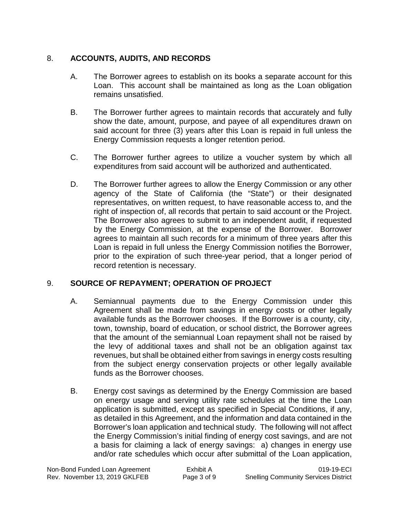# 8. **ACCOUNTS, AUDITS, AND RECORDS**

- A. The Borrower agrees to establish on its books a separate account for this Loan. This account shall be maintained as long as the Loan obligation remains unsatisfied.
- B. The Borrower further agrees to maintain records that accurately and fully show the date, amount, purpose, and payee of all expenditures drawn on said account for three (3) years after this Loan is repaid in full unless the Energy Commission requests a longer retention period.
- C. The Borrower further agrees to utilize a voucher system by which all expenditures from said account will be authorized and authenticated.
- D. The Borrower further agrees to allow the Energy Commission or any other agency of the State of California (the "State") or their designated representatives, on written request, to have reasonable access to, and the right of inspection of, all records that pertain to said account or the Project. The Borrower also agrees to submit to an independent audit, if requested by the Energy Commission, at the expense of the Borrower. Borrower agrees to maintain all such records for a minimum of three years after this Loan is repaid in full unless the Energy Commission notifies the Borrower, prior to the expiration of such three-year period, that a longer period of record retention is necessary.

# 9. **SOURCE OF REPAYMENT; OPERATION OF PROJECT**

- A. Semiannual payments due to the Energy Commission under this Agreement shall be made from savings in energy costs or other legally available funds as the Borrower chooses. If the Borrower is a county, city, town, township, board of education, or school district, the Borrower agrees that the amount of the semiannual Loan repayment shall not be raised by the levy of additional taxes and shall not be an obligation against tax revenues, but shall be obtained either from savings in energy costs resulting from the subject energy conservation projects or other legally available funds as the Borrower chooses.
- B. Energy cost savings as determined by the Energy Commission are based on energy usage and serving utility rate schedules at the time the Loan application is submitted, except as specified in Special Conditions, if any, as detailed in this Agreement, and the information and data contained in the Borrower's loan application and technical study. The following will not affect the Energy Commission's initial finding of energy cost savings, and are not a basis for claiming a lack of energy savings: a) changes in energy use and/or rate schedules which occur after submittal of the Loan application,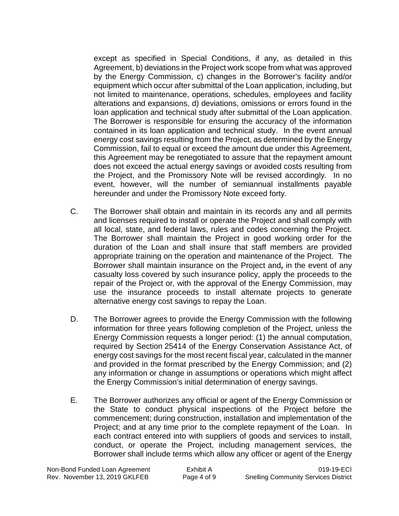except as specified in Special Conditions, if any, as detailed in this Agreement, b) deviations in the Project work scope from what was approved by the Energy Commission, c) changes in the Borrower's facility and/or equipment which occur after submittal of the Loan application, including, but not limited to maintenance, operations, schedules, employees and facility alterations and expansions, d) deviations, omissions or errors found in the loan application and technical study after submittal of the Loan application. The Borrower is responsible for ensuring the accuracy of the information contained in its loan application and technical study. In the event annual energy cost savings resulting from the Project, as determined by the Energy Commission, fail to equal or exceed the amount due under this Agreement, this Agreement may be renegotiated to assure that the repayment amount does not exceed the actual energy savings or avoided costs resulting from the Project, and the Promissory Note will be revised accordingly. In no event, however, will the number of semiannual installments payable hereunder and under the Promissory Note exceed forty.

- C. The Borrower shall obtain and maintain in its records any and all permits and licenses required to install or operate the Project and shall comply with all local, state, and federal laws, rules and codes concerning the Project. The Borrower shall maintain the Project in good working order for the duration of the Loan and shall insure that staff members are provided appropriate training on the operation and maintenance of the Project. The Borrower shall maintain insurance on the Project and**,** in the event of any casualty loss covered by such insurance policy, apply the proceeds to the repair of the Project or, with the approval of the Energy Commission, may use the insurance proceeds to install alternate projects to generate alternative energy cost savings to repay the Loan.
- D. The Borrower agrees to provide the Energy Commission with the following information for three years following completion of the Project, unless the Energy Commission requests a longer period: (1) the annual computation, required by Section 25414 of the Energy Conservation Assistance Act, of energy cost savings for the most recent fiscal year, calculated in the manner and provided in the format prescribed by the Energy Commission; and (2) any information or change in assumptions or operations which might affect the Energy Commission's initial determination of energy savings.
- E. The Borrower authorizes any official or agent of the Energy Commission or the State to conduct physical inspections of the Project before the commencement; during construction, installation and implementation of the Project; and at any time prior to the complete repayment of the Loan. In each contract entered into with suppliers of goods and services to install, conduct, or operate the Project, including management services, the Borrower shall include terms which allow any officer or agent of the Energy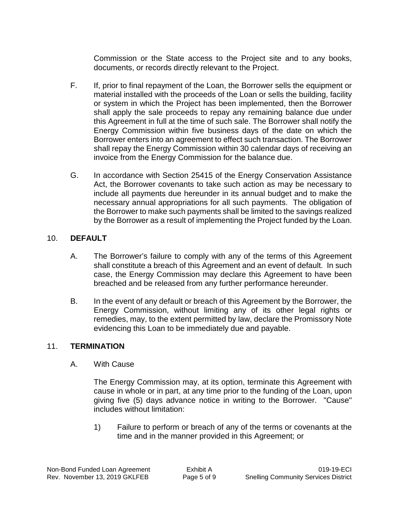Commission or the State access to the Project site and to any books, documents, or records directly relevant to the Project.

- F. If, prior to final repayment of the Loan, the Borrower sells the equipment or material installed with the proceeds of the Loan or sells the building, facility or system in which the Project has been implemented, then the Borrower shall apply the sale proceeds to repay any remaining balance due under this Agreement in full at the time of such sale. The Borrower shall notify the Energy Commission within five business days of the date on which the Borrower enters into an agreement to effect such transaction. The Borrower shall repay the Energy Commission within 30 calendar days of receiving an invoice from the Energy Commission for the balance due.
- G. In accordance with Section 25415 of the Energy Conservation Assistance Act, the Borrower covenants to take such action as may be necessary to include all payments due hereunder in its annual budget and to make the necessary annual appropriations for all such payments. The obligation of the Borrower to make such payments shall be limited to the savings realized by the Borrower as a result of implementing the Project funded by the Loan.

# 10. **DEFAULT**

- A. The Borrower's failure to comply with any of the terms of this Agreement shall constitute a breach of this Agreement and an event of default. In such case, the Energy Commission may declare this Agreement to have been breached and be released from any further performance hereunder.
- B. In the event of any default or breach of this Agreement by the Borrower, the Energy Commission, without limiting any of its other legal rights or remedies, may, to the extent permitted by law, declare the Promissory Note evidencing this Loan to be immediately due and payable.

# 11. **TERMINATION**

A. With Cause

The Energy Commission may, at its option, terminate this Agreement with cause in whole or in part, at any time prior to the funding of the Loan, upon giving five (5) days advance notice in writing to the Borrower. "Cause" includes without limitation:

1) Failure to perform or breach of any of the terms or covenants at the time and in the manner provided in this Agreement; or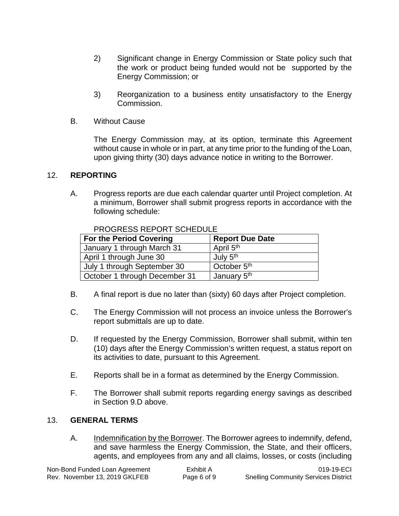- 2) Significant change in Energy Commission or State policy such that the work or product being funded would not be supported by the Energy Commission; or
- 3) Reorganization to a business entity unsatisfactory to the Energy Commission.
- B. Without Cause

The Energy Commission may, at its option, terminate this Agreement without cause in whole or in part, at any time prior to the funding of the Loan, upon giving thirty (30) days advance notice in writing to the Borrower.

## 12. **REPORTING**

A. Progress reports are due each calendar quarter until Project completion. At a minimum, Borrower shall submit progress reports in accordance with the following schedule:

| <b>For the Period Covering</b> | <b>Report Due Date</b>  |
|--------------------------------|-------------------------|
| January 1 through March 31     | April 5 <sup>th</sup>   |
| April 1 through June 30        | July 5 <sup>th</sup>    |
| July 1 through September 30    | October 5 <sup>th</sup> |
| October 1 through December 31  | January 5 <sup>th</sup> |

PROGRESS REPORT SCHEDULE

- B. A final report is due no later than (sixty) 60 days after Project completion.
- C. The Energy Commission will not process an invoice unless the Borrower's report submittals are up to date.
- D. If requested by the Energy Commission, Borrower shall submit, within ten (10) days after the Energy Commission's written request, a status report on its activities to date, pursuant to this Agreement.
- E. Reports shall be in a format as determined by the Energy Commission.
- F. The Borrower shall submit reports regarding energy savings as described in Section 9.D above.

#### 13. **GENERAL TERMS**

A. Indemnification by the Borrower. The Borrower agrees to indemnify, defend, and save harmless the Energy Commission, the State, and their officers, agents, and employees from any and all claims, losses, or costs (including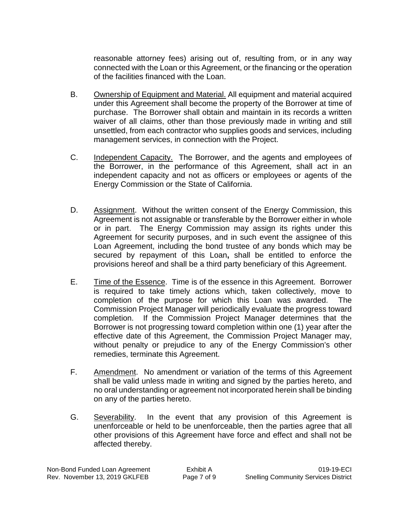reasonable attorney fees) arising out of, resulting from, or in any way connected with the Loan or this Agreement, or the financing or the operation of the facilities financed with the Loan.

- B. Ownership of Equipment and Material. All equipment and material acquired under this Agreement shall become the property of the Borrower at time of purchase. The Borrower shall obtain and maintain in its records a written waiver of all claims, other than those previously made in writing and still unsettled, from each contractor who supplies goods and services, including management services, in connection with the Project.
- C. Independent Capacity. The Borrower, and the agents and employees of the Borrower, in the performance of this Agreement, shall act in an independent capacity and not as officers or employees or agents of the Energy Commission or the State of California.
- D. Assignment. Without the written consent of the Energy Commission, this Agreement is not assignable or transferable by the Borrower either in whole or in part. The Energy Commission may assign its rights under this Agreement for security purposes, and in such event the assignee of this Loan Agreement, including the bond trustee of any bonds which may be secured by repayment of this Loan**,** shall be entitled to enforce the provisions hereof and shall be a third party beneficiary of this Agreement.
- E. Time of the Essence. Time is of the essence in this Agreement. Borrower is required to take timely actions which, taken collectively, move to completion of the purpose for which this Loan was awarded. The Commission Project Manager will periodically evaluate the progress toward completion. If the Commission Project Manager determines that the Borrower is not progressing toward completion within one (1) year after the effective date of this Agreement, the Commission Project Manager may, without penalty or prejudice to any of the Energy Commission's other remedies, terminate this Agreement.
- F. Amendment. No amendment or variation of the terms of this Agreement shall be valid unless made in writing and signed by the parties hereto, and no oral understanding or agreement not incorporated herein shall be binding on any of the parties hereto.
- G. Severability. In the event that any provision of this Agreement is unenforceable or held to be unenforceable, then the parties agree that all other provisions of this Agreement have force and effect and shall not be affected thereby.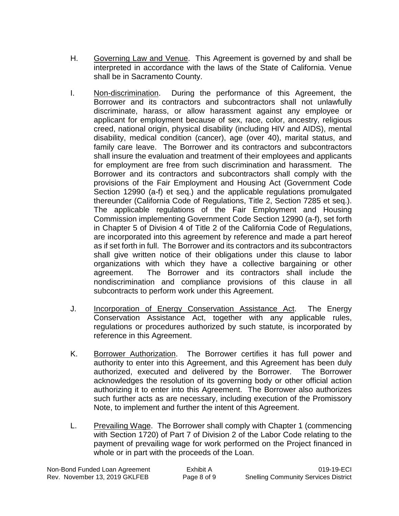- H. Governing Law and Venue. This Agreement is governed by and shall be interpreted in accordance with the laws of the State of California. Venue shall be in Sacramento County.
- I. Non-discrimination. During the performance of this Agreement, the Borrower and its contractors and subcontractors shall not unlawfully discriminate, harass, or allow harassment against any employee or applicant for employment because of sex, race, color, ancestry, religious creed, national origin, physical disability (including HIV and AIDS), mental disability, medical condition (cancer), age (over 40), marital status, and family care leave. The Borrower and its contractors and subcontractors shall insure the evaluation and treatment of their employees and applicants for employment are free from such discrimination and harassment. The Borrower and its contractors and subcontractors shall comply with the provisions of the Fair Employment and Housing Act (Government Code Section 12990 (a-f) et seq.) and the applicable regulations promulgated thereunder (California Code of Regulations, Title 2, Section 7285 et seq.). The applicable regulations of the Fair Employment and Housing Commission implementing Government Code Section 12990 (a-f), set forth in Chapter 5 of Division 4 of Title 2 of the California Code of Regulations, are incorporated into this agreement by reference and made a part hereof as if set forth in full. The Borrower and its contractors and its subcontractors shall give written notice of their obligations under this clause to labor organizations with which they have a collective bargaining or other agreement. The Borrower and its contractors shall include the nondiscrimination and compliance provisions of this clause in all subcontracts to perform work under this Agreement.
- J. Incorporation of Energy Conservation Assistance Act. The Energy Conservation Assistance Act, together with any applicable rules, regulations or procedures authorized by such statute, is incorporated by reference in this Agreement.
- K. Borrower Authorization. The Borrower certifies it has full power and authority to enter into this Agreement, and this Agreement has been duly authorized, executed and delivered by the Borrower. The Borrower acknowledges the resolution of its governing body or other official action authorizing it to enter into this Agreement. The Borrower also authorizes such further acts as are necessary, including execution of the Promissory Note, to implement and further the intent of this Agreement.
- L. Prevailing Wage. The Borrower shall comply with Chapter 1 (commencing with Section 1720) of Part 7 of Division 2 of the Labor Code relating to the payment of prevailing wage for work performed on the Project financed in whole or in part with the proceeds of the Loan.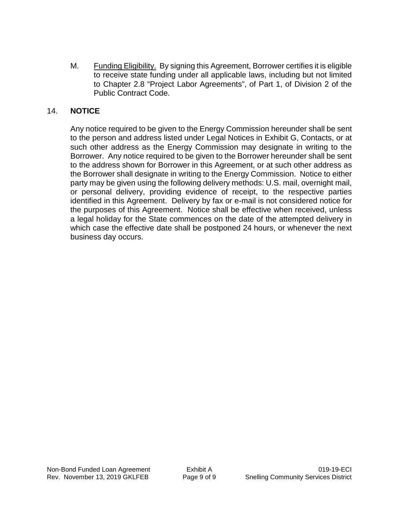M. Funding Eligibility. By signing this Agreement, Borrower certifies it is eligible to receive state funding under all applicable laws, including but not limited to Chapter 2.8 "Project Labor Agreements", of Part 1, of Division 2 of the Public Contract Code.

## 14. **NOTICE**

Any notice required to be given to the Energy Commission hereunder shall be sent to the person and address listed under Legal Notices in Exhibit G, Contacts, or at such other address as the Energy Commission may designate in writing to the Borrower. Any notice required to be given to the Borrower hereunder shall be sent to the address shown for Borrower in this Agreement, or at such other address as the Borrower shall designate in writing to the Energy Commission. Notice to either party may be given using the following delivery methods: U.S. mail, overnight mail, or personal delivery, providing evidence of receipt, to the respective parties identified in this Agreement. Delivery by fax or e-mail is not considered notice for the purposes of this Agreement. Notice shall be effective when received, unless a legal holiday for the State commences on the date of the attempted delivery in which case the effective date shall be postponed 24 hours, or whenever the next business day occurs.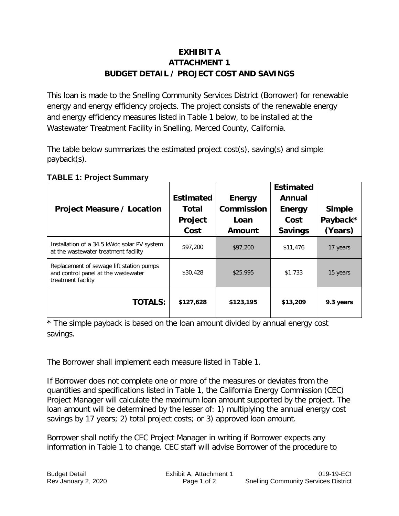# **EXHIBIT A ATTACHMENT 1 BUDGET DETAIL / PROJECT COST AND SAVINGS**

This loan is made to the Snelling Community Services District (Borrower) for renewable energy and energy efficiency projects. The project consists of the renewable energy and energy efficiency measures listed in Table 1 below, to be installed at the Wastewater Treatment Facility in Snelling, Merced County, California.

The table below summarizes the estimated project cost(s), saving(s) and simple payback(s).

| <b>Project Measure / Location</b>                                                                     | <b>Estimated</b><br><b>Total</b><br>Project<br>Cost | <b>Energy</b><br><b>Commission</b><br>Loan<br>Amount | <b>Estimated</b><br>Annual<br><b>Energy</b><br>Cost<br><b>Savings</b> | <b>Simple</b><br>Payback*<br>(Years) |
|-------------------------------------------------------------------------------------------------------|-----------------------------------------------------|------------------------------------------------------|-----------------------------------------------------------------------|--------------------------------------|
| Installation of a 34.5 kWdc solar PV system<br>at the wastewater treatment facility                   | \$97,200                                            | \$97,200                                             | \$11,476                                                              | 17 years                             |
| Replacement of sewage lift station pumps<br>and control panel at the wastewater<br>treatment facility | \$30,428                                            | \$25,995                                             | \$1,733                                                               | 15 years                             |
| <b>TOTALS:</b>                                                                                        | \$127,628                                           | \$123,195                                            | \$13,209                                                              | 9.3 years                            |

#### **TABLE 1: Project Summary**

\* The simple payback is based on the loan amount divided by annual energy cost savings.

The Borrower shall implement each measure listed in Table 1.

If Borrower does not complete one or more of the measures or deviates from the quantities and specifications listed in Table 1, the California Energy Commission (CEC) Project Manager will calculate the maximum loan amount supported by the project. The loan amount will be determined by the lesser of: 1) multiplying the annual energy cost savings by 17 years; 2) total project costs; or 3) approved loan amount.

Borrower shall notify the CEC Project Manager in writing if Borrower expects any information in Table 1 to change. CEC staff will advise Borrower of the procedure to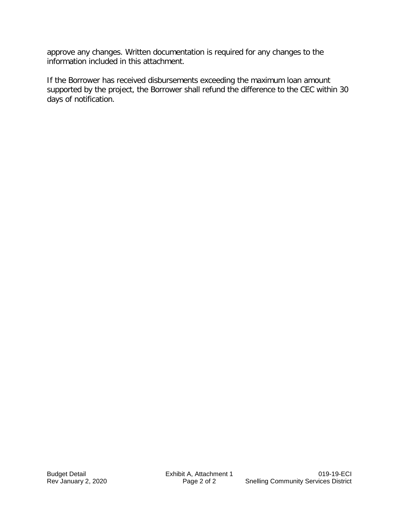approve any changes. Written documentation is required for any changes to the information included in this attachment.

If the Borrower has received disbursements exceeding the maximum loan amount supported by the project, the Borrower shall refund the difference to the CEC within 30 days of notification.